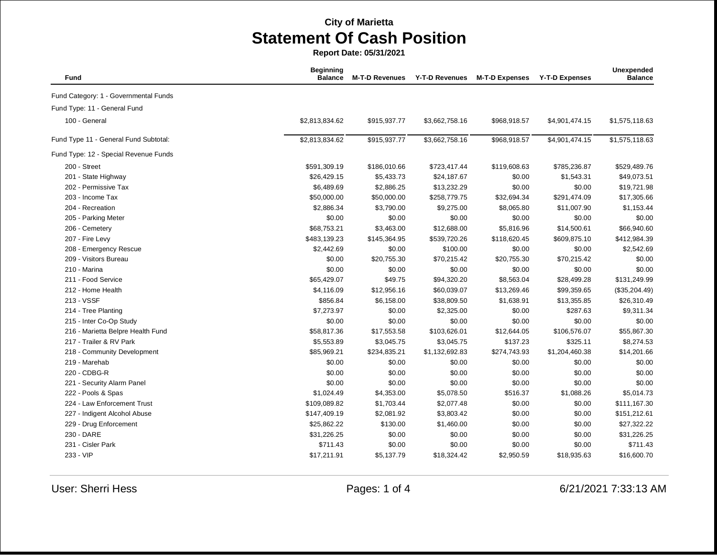**Report Date: 05/31/2021**

| Fund                                  | <b>Beginning</b><br><b>Balance</b> | <b>M-T-D Revenues</b> | <b>Y-T-D Revenues</b> | <b>M-T-D Expenses</b> | <b>Y-T-D Expenses</b> | Unexpended<br><b>Balance</b> |
|---------------------------------------|------------------------------------|-----------------------|-----------------------|-----------------------|-----------------------|------------------------------|
| Fund Category: 1 - Governmental Funds |                                    |                       |                       |                       |                       |                              |
| Fund Type: 11 - General Fund          |                                    |                       |                       |                       |                       |                              |
| 100 - General                         | \$2,813,834.62                     | \$915,937.77          | \$3,662,758.16        | \$968,918.57          | \$4,901,474.15        | \$1,575,118.63               |
| Fund Type 11 - General Fund Subtotal: | \$2,813,834.62                     | \$915,937.77          | \$3,662,758.16        | \$968,918.57          | \$4,901,474.15        | \$1,575,118.63               |
| Fund Type: 12 - Special Revenue Funds |                                    |                       |                       |                       |                       |                              |
| 200 - Street                          | \$591,309.19                       | \$186,010.66          | \$723,417.44          | \$119,608.63          | \$785,236.87          | \$529,489.76                 |
| 201 - State Highway                   | \$26,429.15                        | \$5,433.73            | \$24,187.67           | \$0.00                | \$1,543.31            | \$49,073.51                  |
| 202 - Permissive Tax                  | \$6,489.69                         | \$2,886.25            | \$13,232.29           | \$0.00                | \$0.00                | \$19,721.98                  |
| 203 - Income Tax                      | \$50,000.00                        | \$50,000.00           | \$258,779.75          | \$32,694.34           | \$291,474.09          | \$17,305.66                  |
| 204 - Recreation                      | \$2,886.34                         | \$3,790.00            | \$9,275.00            | \$8,065.80            | \$11,007.90           | \$1,153.44                   |
| 205 - Parking Meter                   | \$0.00                             | \$0.00                | \$0.00                | \$0.00                | \$0.00                | \$0.00                       |
| 206 - Cemetery                        | \$68,753.21                        | \$3,463.00            | \$12,688.00           | \$5,816.96            | \$14,500.61           | \$66,940.60                  |
| 207 - Fire Levy                       | \$483,139.23                       | \$145,364.95          | \$539,720.26          | \$118,620.45          | \$609,875.10          | \$412,984.39                 |
| 208 - Emergency Rescue                | \$2,442.69                         | \$0.00                | \$100.00              | \$0.00                | \$0.00                | \$2,542.69                   |
| 209 - Visitors Bureau                 | \$0.00                             | \$20,755.30           | \$70,215.42           | \$20,755.30           | \$70,215.42           | \$0.00                       |
| 210 - Marina                          | \$0.00                             | \$0.00                | \$0.00                | \$0.00                | \$0.00                | \$0.00                       |
| 211 - Food Service                    | \$65,429.07                        | \$49.75               | \$94,320.20           | \$8,563.04            | \$28,499.28           | \$131,249.99                 |
| 212 - Home Health                     | \$4,116.09                         | \$12,956.16           | \$60,039.07           | \$13,269.46           | \$99,359.65           | (\$35,204.49)                |
| 213 - VSSF                            | \$856.84                           | \$6,158.00            | \$38,809.50           | \$1,638.91            | \$13,355.85           | \$26,310.49                  |
| 214 - Tree Planting                   | \$7,273.97                         | \$0.00                | \$2,325.00            | \$0.00                | \$287.63              | \$9,311.34                   |
| 215 - Inter Co-Op Study               | \$0.00                             | \$0.00                | \$0.00                | \$0.00                | \$0.00                | \$0.00                       |
| 216 - Marietta Belpre Health Fund     | \$58,817.36                        | \$17,553.58           | \$103,626.01          | \$12,644.05           | \$106,576.07          | \$55,867.30                  |
| 217 - Trailer & RV Park               | \$5,553.89                         | \$3,045.75            | \$3,045.75            | \$137.23              | \$325.11              | \$8,274.53                   |
| 218 - Community Development           | \$85,969.21                        | \$234,835.21          | \$1,132,692.83        | \$274,743.93          | \$1,204,460.38        | \$14,201.66                  |
| 219 - Marehab                         | \$0.00                             | \$0.00                | \$0.00                | \$0.00                | \$0.00                | \$0.00                       |
| 220 - CDBG-R                          | \$0.00                             | \$0.00                | \$0.00                | \$0.00                | \$0.00                | \$0.00                       |
| 221 - Security Alarm Panel            | \$0.00                             | \$0.00                | \$0.00                | \$0.00                | \$0.00                | \$0.00                       |
| 222 - Pools & Spas                    | \$1,024.49                         | \$4,353.00            | \$5,078.50            | \$516.37              | \$1,088.26            | \$5,014.73                   |
| 224 - Law Enforcement Trust           | \$109,089.82                       | \$1,703.44            | \$2,077.48            | \$0.00                | \$0.00                | \$111,167.30                 |
| 227 - Indigent Alcohol Abuse          | \$147,409.19                       | \$2,081.92            | \$3,803.42            | \$0.00                | \$0.00                | \$151,212.61                 |
| 229 - Drug Enforcement                | \$25,862.22                        | \$130.00              | \$1,460.00            | \$0.00                | \$0.00                | \$27,322.22                  |
| 230 - DARE                            | \$31,226.25                        | \$0.00                | \$0.00                | \$0.00                | \$0.00                | \$31,226.25                  |
| 231 - Cisler Park                     | \$711.43                           | \$0.00                | \$0.00                | \$0.00                | \$0.00                | \$711.43                     |
| 233 - VIP                             | \$17,211.91                        | \$5,137.79            | \$18,324.42           | \$2,950.59            | \$18,935.63           | \$16,600.70                  |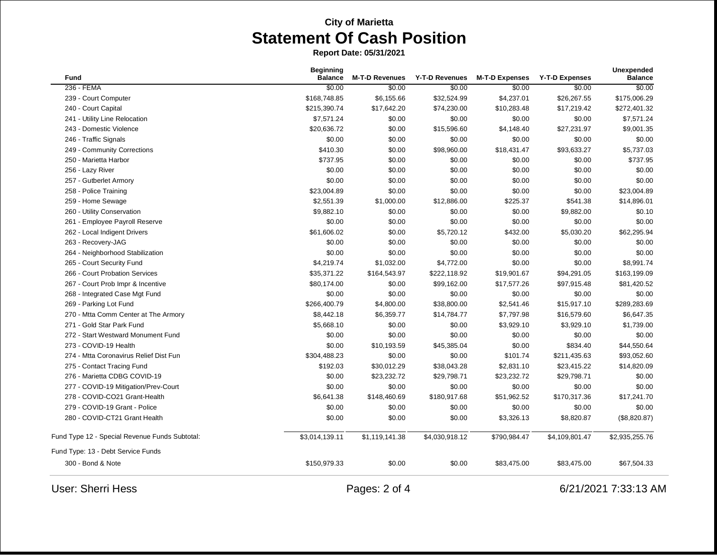**Report Date: 05/31/2021**

| Fund                                           | <b>Beginning</b><br><b>Balance</b> | <b>M-T-D Revenues</b> | <b>Y-T-D Revenues</b> | <b>M-T-D Expenses</b> | <b>Y-T-D Expenses</b> | <b>Unexpended</b><br><b>Balance</b> |
|------------------------------------------------|------------------------------------|-----------------------|-----------------------|-----------------------|-----------------------|-------------------------------------|
| 236 - FEMA                                     | \$0.00                             | \$0.00                | \$0.00                | \$0.00                | \$0.00                | \$0.00                              |
| 239 - Court Computer                           | \$168,748.85                       | \$6,155.66            | \$32,524.99           | \$4,237.01            | \$26,267.55           | \$175,006.29                        |
| 240 - Court Capital                            | \$215,390.74                       | \$17,642.20           | \$74,230.00           | \$10,283.48           | \$17,219.42           | \$272,401.32                        |
| 241 - Utility Line Relocation                  | \$7,571.24                         | \$0.00                | \$0.00                | \$0.00                | \$0.00                | \$7,571.24                          |
| 243 - Domestic Violence                        | \$20,636.72                        | \$0.00                | \$15,596.60           | \$4,148.40            | \$27,231.97           | \$9,001.35                          |
| 246 - Traffic Signals                          | \$0.00                             | \$0.00                | \$0.00                | \$0.00                | \$0.00                | \$0.00                              |
| 249 - Community Corrections                    | \$410.30                           | \$0.00                | \$98,960.00           | \$18,431.47           | \$93,633.27           | \$5,737.03                          |
| 250 - Marietta Harbor                          | \$737.95                           | \$0.00                | \$0.00                | \$0.00                | \$0.00                | \$737.95                            |
| 256 - Lazy River                               | \$0.00                             | \$0.00                | \$0.00                | \$0.00                | \$0.00                | \$0.00                              |
| 257 - Gutberlet Armory                         | \$0.00                             | \$0.00                | \$0.00                | \$0.00                | \$0.00                | \$0.00                              |
| 258 - Police Training                          | \$23,004.89                        | \$0.00                | \$0.00                | \$0.00                | \$0.00                | \$23,004.89                         |
| 259 - Home Sewage                              | \$2,551.39                         | \$1,000.00            | \$12,886.00           | \$225.37              | \$541.38              | \$14,896.01                         |
| 260 - Utility Conservation                     | \$9,882.10                         | \$0.00                | \$0.00                | \$0.00                | \$9,882.00            | \$0.10                              |
| 261 - Employee Payroll Reserve                 | \$0.00                             | \$0.00                | \$0.00                | \$0.00                | \$0.00                | \$0.00                              |
| 262 - Local Indigent Drivers                   | \$61,606.02                        | \$0.00                | \$5,720.12            | \$432.00              | \$5,030.20            | \$62,295.94                         |
| 263 - Recovery-JAG                             | \$0.00                             | \$0.00                | \$0.00                | \$0.00                | \$0.00                | \$0.00                              |
| 264 - Neighborhood Stabilization               | \$0.00                             | \$0.00                | \$0.00                | \$0.00                | \$0.00                | \$0.00                              |
| 265 - Court Security Fund                      | \$4,219.74                         | \$1,032.00            | \$4,772.00            | \$0.00                | \$0.00                | \$8,991.74                          |
| 266 - Court Probation Services                 | \$35,371.22                        | \$164,543.97          | \$222,118.92          | \$19,901.67           | \$94,291.05           | \$163,199.09                        |
| 267 - Court Prob Impr & Incentive              | \$80,174.00                        | \$0.00                | \$99,162.00           | \$17,577.26           | \$97,915.48           | \$81,420.52                         |
| 268 - Integrated Case Mgt Fund                 | \$0.00                             | \$0.00                | \$0.00                | \$0.00                | \$0.00                | \$0.00                              |
| 269 - Parking Lot Fund                         | \$266,400.79                       | \$4,800.00            | \$38,800.00           | \$2,541.46            | \$15,917.10           | \$289,283.69                        |
| 270 - Mtta Comm Center at The Armory           | \$8,442.18                         | \$6,359.77            | \$14,784.77           | \$7,797.98            | \$16,579.60           | \$6,647.35                          |
| 271 - Gold Star Park Fund                      | \$5,668.10                         | \$0.00                | \$0.00                | \$3,929.10            | \$3,929.10            | \$1,739.00                          |
| 272 - Start Westward Monument Fund             | \$0.00                             | \$0.00                | \$0.00                | \$0.00                | \$0.00                | \$0.00                              |
| 273 - COVID-19 Health                          | \$0.00                             | \$10,193.59           | \$45,385.04           | \$0.00                | \$834.40              | \$44,550.64                         |
| 274 - Mtta Coronavirus Relief Dist Fun         | \$304,488.23                       | \$0.00                | \$0.00                | \$101.74              | \$211,435.63          | \$93,052.60                         |
| 275 - Contact Tracing Fund                     | \$192.03                           | \$30,012.29           | \$38,043.28           | \$2,831.10            | \$23,415.22           | \$14,820.09                         |
| 276 - Marietta CDBG COVID-19                   | \$0.00                             | \$23,232.72           | \$29,798.71           | \$23,232.72           | \$29,798.71           | \$0.00                              |
| 277 - COVID-19 Mitigation/Prev-Court           | \$0.00                             | \$0.00                | \$0.00                | \$0.00                | \$0.00                | \$0.00                              |
| 278 - COVID-CO21 Grant-Health                  | \$6,641.38                         | \$148,460.69          | \$180,917.68          | \$51,962.52           | \$170,317.36          | \$17,241.70                         |
| 279 - COVID-19 Grant - Police                  | \$0.00                             | \$0.00                | \$0.00                | \$0.00                | \$0.00                | \$0.00                              |
| 280 - COVID-CT21 Grant Health                  | \$0.00                             | \$0.00                | \$0.00                | \$3,326.13            | \$8,820.87            | (\$8,820.87)                        |
| Fund Type 12 - Special Revenue Funds Subtotal: | \$3,014,139.11                     | \$1,119,141.38        | \$4,030,918.12        | \$790,984.47          | \$4,109,801.47        | \$2,935,255.76                      |
| Fund Type: 13 - Debt Service Funds             |                                    |                       |                       |                       |                       |                                     |
| 300 - Bond & Note                              | \$150,979.33                       | \$0.00                | \$0.00                | \$83,475.00           | \$83,475.00           | \$67,504.33                         |
| <b>User: Sherri Hess</b>                       | Pages: 2 of 4                      |                       |                       |                       |                       | 6/21/2021 7:33:13 AM                |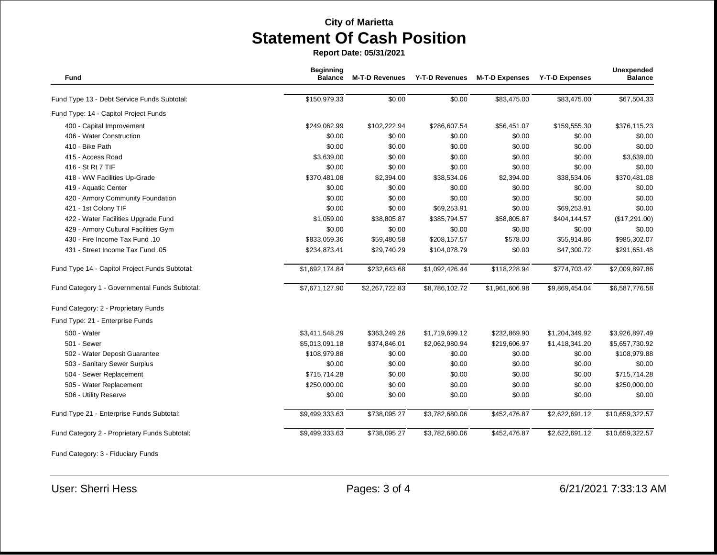**Report Date: 05/31/2021**

| Fund                                           | <b>Beginning</b><br><b>Balance</b> | <b>M-T-D Revenues</b> | Y-T-D Revenues | <b>M-T-D Expenses</b> | <b>Y-T-D Expenses</b> | Unexpended<br><b>Balance</b> |
|------------------------------------------------|------------------------------------|-----------------------|----------------|-----------------------|-----------------------|------------------------------|
|                                                |                                    |                       |                |                       |                       | \$67,504.33                  |
| Fund Type 13 - Debt Service Funds Subtotal:    | \$150,979.33                       | \$0.00                | \$0.00         | \$83,475.00           | \$83,475.00           |                              |
| Fund Type: 14 - Capitol Project Funds          |                                    |                       |                |                       |                       |                              |
| 400 - Capital Improvement                      | \$249,062.99                       | \$102,222.94          | \$286,607.54   | \$56,451.07           | \$159,555.30          | \$376,115.23                 |
| 406 - Water Construction                       | \$0.00                             | \$0.00                | \$0.00         | \$0.00                | \$0.00                | \$0.00                       |
| 410 - Bike Path                                | \$0.00                             | \$0.00                | \$0.00         | \$0.00                | \$0.00                | \$0.00                       |
| 415 - Access Road                              | \$3,639.00                         | \$0.00                | \$0.00         | \$0.00                | \$0.00                | \$3,639.00                   |
| 416 - St Rt 7 TIF                              | \$0.00                             | \$0.00                | \$0.00         | \$0.00                | \$0.00                | \$0.00                       |
| 418 - WW Facilities Up-Grade                   | \$370,481.08                       | \$2,394.00            | \$38,534.06    | \$2,394.00            | \$38,534.06           | \$370,481.08                 |
| 419 - Aquatic Center                           | \$0.00                             | \$0.00                | \$0.00         | \$0.00                | \$0.00                | \$0.00                       |
| 420 - Armory Community Foundation              | \$0.00                             | \$0.00                | \$0.00         | \$0.00                | \$0.00                | \$0.00                       |
| 421 - 1st Colony TIF                           | \$0.00                             | \$0.00                | \$69,253.91    | \$0.00                | \$69,253.91           | \$0.00                       |
| 422 - Water Facilities Upgrade Fund            | \$1,059.00                         | \$38,805.87           | \$385,794.57   | \$58,805.87           | \$404,144.57          | (\$17,291.00)                |
| 429 - Armory Cultural Facilities Gym           | \$0.00                             | \$0.00                | \$0.00         | \$0.00                | \$0.00                | \$0.00                       |
| 430 - Fire Income Tax Fund .10                 | \$833,059.36                       | \$59,480.58           | \$208,157.57   | \$578.00              | \$55,914.86           | \$985,302.07                 |
| 431 - Street Income Tax Fund .05               | \$234,873.41                       | \$29,740.29           | \$104,078.79   | \$0.00                | \$47,300.72           | \$291,651.48                 |
| Fund Type 14 - Capitol Project Funds Subtotal: | \$1,692,174.84                     | \$232,643.68          | \$1,092,426.44 | \$118,228.94          | \$774,703.42          | \$2,009,897.86               |
| Fund Category 1 - Governmental Funds Subtotal: | \$7,671,127.90                     | \$2,267,722.83        | \$8,786,102.72 | \$1,961,606.98        | \$9,869,454.04        | \$6,587,776.58               |
| Fund Category: 2 - Proprietary Funds           |                                    |                       |                |                       |                       |                              |
| Fund Type: 21 - Enterprise Funds               |                                    |                       |                |                       |                       |                              |
| 500 - Water                                    | \$3,411,548.29                     | \$363,249.26          | \$1,719,699.12 | \$232,869.90          | \$1,204,349.92        | \$3,926,897.49               |
| 501 - Sewer                                    | \$5,013,091.18                     | \$374,846.01          | \$2,062,980.94 | \$219,606.97          | \$1,418,341.20        | \$5,657,730.92               |
| 502 - Water Deposit Guarantee                  | \$108,979.88                       | \$0.00                | \$0.00         | \$0.00                | \$0.00                | \$108,979.88                 |
| 503 - Sanitary Sewer Surplus                   | \$0.00                             | \$0.00                | \$0.00         | \$0.00                | \$0.00                | \$0.00                       |
| 504 - Sewer Replacement                        | \$715,714.28                       | \$0.00                | \$0.00         | \$0.00                | \$0.00                | \$715,714.28                 |
| 505 - Water Replacement                        | \$250,000.00                       | \$0.00                | \$0.00         | \$0.00                | \$0.00                | \$250,000.00                 |
| 506 - Utility Reserve                          | \$0.00                             | \$0.00                | \$0.00         | \$0.00                | \$0.00                | \$0.00                       |
| Fund Type 21 - Enterprise Funds Subtotal:      | \$9,499,333.63                     | \$738,095.27          | \$3,782,680.06 | \$452,476.87          | \$2,622,691.12        | \$10,659,322.57              |
| Fund Category 2 - Proprietary Funds Subtotal:  | \$9,499,333.63                     | \$738,095.27          | \$3,782,680.06 | \$452,476.87          | \$2,622,691.12        | \$10,659,322.57              |

Fund Category: 3 - Fiduciary Funds